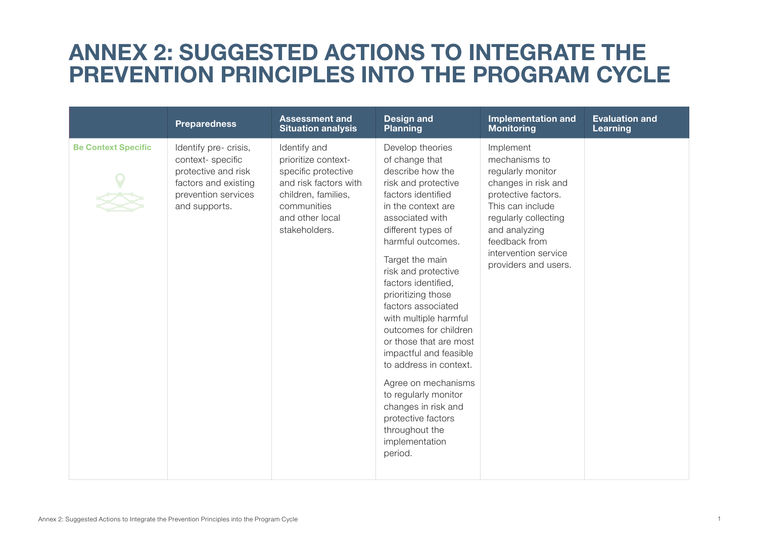## **ANNEX 2: SUGGESTED ACTIONS TO INTEGRATE THE PREVENTION PRINCIPLES INTO THE PROGRAM CYCLE**

|                            | <b>Preparedness</b>                                                                                                              | <b>Assessment and</b><br><b>Situation analysis</b>                                                                                                            | <b>Design and</b><br><b>Planning</b>                                                                                                                                                                                                                                                                                                                                                                                                                                                                                                                                            | <b>Implementation and</b><br><b>Monitoring</b>                                                                                                                                                                              | <b>Evaluation and</b><br>Learning |
|----------------------------|----------------------------------------------------------------------------------------------------------------------------------|---------------------------------------------------------------------------------------------------------------------------------------------------------------|---------------------------------------------------------------------------------------------------------------------------------------------------------------------------------------------------------------------------------------------------------------------------------------------------------------------------------------------------------------------------------------------------------------------------------------------------------------------------------------------------------------------------------------------------------------------------------|-----------------------------------------------------------------------------------------------------------------------------------------------------------------------------------------------------------------------------|-----------------------------------|
| <b>Be Context Specific</b> | Identify pre- crisis,<br>context-specific<br>protective and risk<br>factors and existing<br>prevention services<br>and supports. | Identify and<br>prioritize context-<br>specific protective<br>and risk factors with<br>children, families,<br>communities<br>and other local<br>stakeholders. | Develop theories<br>of change that<br>describe how the<br>risk and protective<br>factors identified<br>in the context are<br>associated with<br>different types of<br>harmful outcomes.<br>Target the main<br>risk and protective<br>factors identified,<br>prioritizing those<br>factors associated<br>with multiple harmful<br>outcomes for children<br>or those that are most<br>impactful and feasible<br>to address in context.<br>Agree on mechanisms<br>to regularly monitor<br>changes in risk and<br>protective factors<br>throughout the<br>implementation<br>period. | Implement<br>mechanisms to<br>regularly monitor<br>changes in risk and<br>protective factors.<br>This can include<br>regularly collecting<br>and analyzing<br>feedback from<br>intervention service<br>providers and users. |                                   |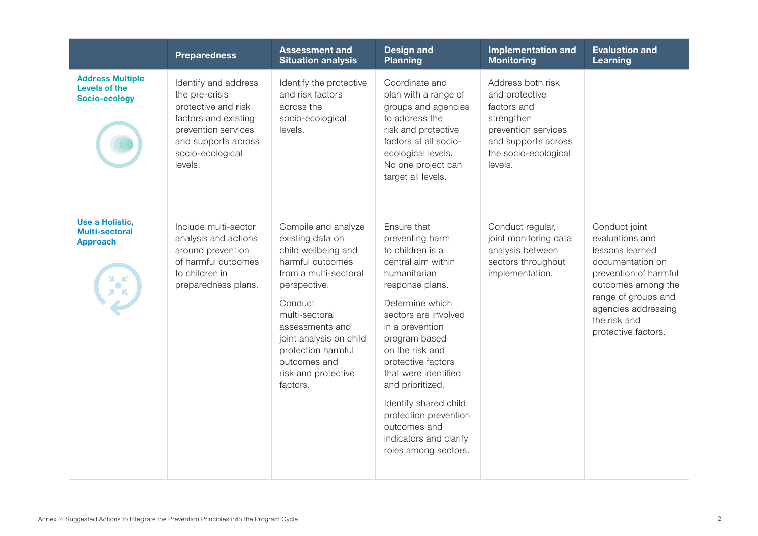|                                                                                               | <b>Preparedness</b>                                                                                                                                                | <b>Assessment and</b><br><b>Situation analysis</b>                                                                                                                                                                                                                              | <b>Design and</b><br><b>Planning</b>                                                                                                                                                                                                                                                                                                                                                                | <b>Implementation and</b><br><b>Monitoring</b>                                                                                                    | <b>Evaluation and</b><br>Learning                                                                                                                                                                           |
|-----------------------------------------------------------------------------------------------|--------------------------------------------------------------------------------------------------------------------------------------------------------------------|---------------------------------------------------------------------------------------------------------------------------------------------------------------------------------------------------------------------------------------------------------------------------------|-----------------------------------------------------------------------------------------------------------------------------------------------------------------------------------------------------------------------------------------------------------------------------------------------------------------------------------------------------------------------------------------------------|---------------------------------------------------------------------------------------------------------------------------------------------------|-------------------------------------------------------------------------------------------------------------------------------------------------------------------------------------------------------------|
| <b>Address Multiple</b><br>Levels of the<br>Socio-ecology                                     | Identify and address<br>the pre-crisis<br>protective and risk<br>factors and existing<br>prevention services<br>and supports across<br>socio-ecological<br>levels. | Identify the protective<br>and risk factors<br>across the<br>socio-ecological<br>levels.                                                                                                                                                                                        | Coordinate and<br>plan with a range of<br>groups and agencies<br>to address the<br>risk and protective<br>factors at all socio-<br>ecological levels.<br>No one project can<br>target all levels.                                                                                                                                                                                                   | Address both risk<br>and protective<br>factors and<br>strengthen<br>prevention services<br>and supports across<br>the socio-ecological<br>levels. |                                                                                                                                                                                                             |
| Use a Holistic,<br><b>Multi-sectoral</b><br><b>Approach</b><br>$\frac{1}{2}$<br>$\frac{1}{2}$ | Include multi-sector<br>analysis and actions<br>around prevention<br>of harmful outcomes<br>to children in<br>preparedness plans.                                  | Compile and analyze<br>existing data on<br>child wellbeing and<br>harmful outcomes<br>from a multi-sectoral<br>perspective.<br>Conduct<br>multi-sectoral<br>assessments and<br>joint analysis on child<br>protection harmful<br>outcomes and<br>risk and protective<br>factors. | Ensure that<br>preventing harm<br>to children is a<br>central aim within<br>humanitarian<br>response plans.<br>Determine which<br>sectors are involved<br>in a prevention<br>program based<br>on the risk and<br>protective factors<br>that were identified<br>and prioritized.<br>Identify shared child<br>protection prevention<br>outcomes and<br>indicators and clarify<br>roles among sectors. | Conduct regular,<br>joint monitoring data<br>analysis between<br>sectors throughout<br>implementation.                                            | Conduct joint<br>evaluations and<br>lessons learned<br>documentation on<br>prevention of harmful<br>outcomes among the<br>range of groups and<br>agencies addressing<br>the risk and<br>protective factors. |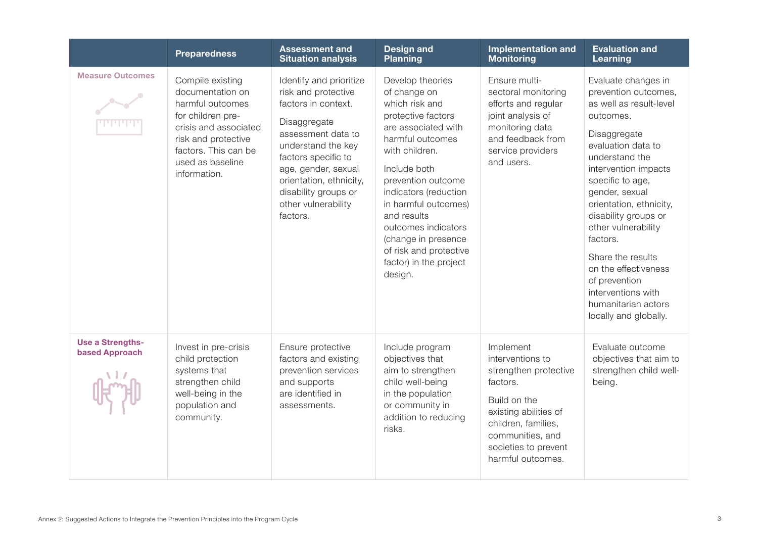|                                                  | <b>Preparedness</b>                                                                                                                                                                       | <b>Assessment and</b><br><b>Situation analysis</b>                                                                                                                                                                                                                    | <b>Design and</b><br><b>Planning</b>                                                                                                                                                                                                                                                                                                                     | <b>Implementation and</b><br><b>Monitoring</b>                                                                                                                                                      | <b>Evaluation and</b><br>Learning                                                                                                                                                                                                                                                                                                                                                                                                   |
|--------------------------------------------------|-------------------------------------------------------------------------------------------------------------------------------------------------------------------------------------------|-----------------------------------------------------------------------------------------------------------------------------------------------------------------------------------------------------------------------------------------------------------------------|----------------------------------------------------------------------------------------------------------------------------------------------------------------------------------------------------------------------------------------------------------------------------------------------------------------------------------------------------------|-----------------------------------------------------------------------------------------------------------------------------------------------------------------------------------------------------|-------------------------------------------------------------------------------------------------------------------------------------------------------------------------------------------------------------------------------------------------------------------------------------------------------------------------------------------------------------------------------------------------------------------------------------|
| <b>Measure Outcomes</b>                          | Compile existing<br>documentation on<br>harmful outcomes<br>for children pre-<br>crisis and associated<br>risk and protective<br>factors. This can be<br>used as baseline<br>information. | Identify and prioritize<br>risk and protective<br>factors in context.<br>Disaggregate<br>assessment data to<br>understand the key<br>factors specific to<br>age, gender, sexual<br>orientation, ethnicity,<br>disability groups or<br>other vulnerability<br>factors. | Develop theories<br>of change on<br>which risk and<br>protective factors<br>are associated with<br>harmful outcomes<br>with children.<br>Include both<br>prevention outcome<br>indicators (reduction<br>in harmful outcomes)<br>and results<br>outcomes indicators<br>(change in presence<br>of risk and protective<br>factor) in the project<br>design. | Ensure multi-<br>sectoral monitoring<br>efforts and regular<br>joint analysis of<br>monitoring data<br>and feedback from<br>service providers<br>and users.                                         | Evaluate changes in<br>prevention outcomes,<br>as well as result-level<br>outcomes.<br>Disaggregate<br>evaluation data to<br>understand the<br>intervention impacts<br>specific to age,<br>gender, sexual<br>orientation, ethnicity,<br>disability groups or<br>other vulnerability<br>factors.<br>Share the results<br>on the effectiveness<br>of prevention<br>interventions with<br>humanitarian actors<br>locally and globally. |
| <b>Use a Strengths-</b><br><b>based Approach</b> | Invest in pre-crisis<br>child protection<br>systems that<br>strengthen child<br>well-being in the<br>population and<br>community.                                                         | Ensure protective<br>factors and existing<br>prevention services<br>and supports<br>are identified in<br>assessments.                                                                                                                                                 | Include program<br>objectives that<br>aim to strengthen<br>child well-being<br>in the population<br>or community in<br>addition to reducing<br>risks.                                                                                                                                                                                                    | Implement<br>interventions to<br>strengthen protective<br>factors.<br>Build on the<br>existing abilities of<br>children, families,<br>communities, and<br>societies to prevent<br>harmful outcomes. | Evaluate outcome<br>objectives that aim to<br>strengthen child well-<br>being.                                                                                                                                                                                                                                                                                                                                                      |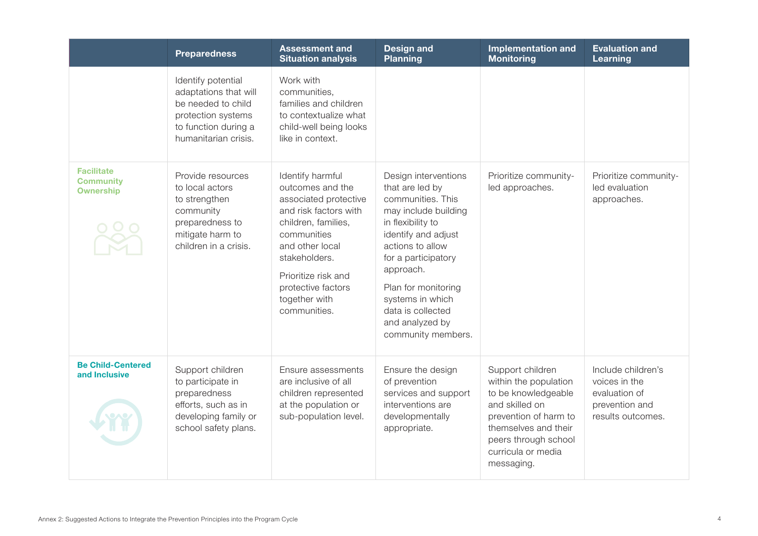|                                                           | <b>Preparedness</b>                                                                                                                     | <b>Assessment and</b><br><b>Situation analysis</b>                                                                                                                                                                                             | <b>Design and</b><br><b>Planning</b>                                                                                                                                                                                                                                                              | <b>Implementation and</b><br><b>Monitoring</b>                                                                                                                                                  | <b>Evaluation and</b><br>Learning                                                           |
|-----------------------------------------------------------|-----------------------------------------------------------------------------------------------------------------------------------------|------------------------------------------------------------------------------------------------------------------------------------------------------------------------------------------------------------------------------------------------|---------------------------------------------------------------------------------------------------------------------------------------------------------------------------------------------------------------------------------------------------------------------------------------------------|-------------------------------------------------------------------------------------------------------------------------------------------------------------------------------------------------|---------------------------------------------------------------------------------------------|
|                                                           | Identify potential<br>adaptations that will<br>be needed to child<br>protection systems<br>to function during a<br>humanitarian crisis. | Work with<br>communities,<br>families and children<br>to contextualize what<br>child-well being looks<br>like in context.                                                                                                                      |                                                                                                                                                                                                                                                                                                   |                                                                                                                                                                                                 |                                                                                             |
| <b>Facilitate</b><br><b>Community</b><br><b>Ownership</b> | Provide resources<br>to local actors<br>to strengthen<br>community<br>preparedness to<br>mitigate harm to<br>children in a crisis.      | Identify harmful<br>outcomes and the<br>associated protective<br>and risk factors with<br>children, families,<br>communities<br>and other local<br>stakeholders.<br>Prioritize risk and<br>protective factors<br>together with<br>communities. | Design interventions<br>that are led by<br>communities. This<br>may include building<br>in flexibility to<br>identify and adjust<br>actions to allow<br>for a participatory<br>approach.<br>Plan for monitoring<br>systems in which<br>data is collected<br>and analyzed by<br>community members. | Prioritize community-<br>led approaches.                                                                                                                                                        | Prioritize community-<br>led evaluation<br>approaches.                                      |
| <b>Be Child-Centered</b><br>and Inclusive                 | Support children<br>to participate in<br>preparedness<br>efforts, such as in<br>developing family or<br>school safety plans.            | Ensure assessments<br>are inclusive of all<br>children represented<br>at the population or<br>sub-population level.                                                                                                                            | Ensure the design<br>of prevention<br>services and support<br>interventions are<br>developmentally<br>appropriate.                                                                                                                                                                                | Support children<br>within the population<br>to be knowledgeable<br>and skilled on<br>prevention of harm to<br>themselves and their<br>peers through school<br>curricula or media<br>messaging. | Include children's<br>voices in the<br>evaluation of<br>prevention and<br>results outcomes. |